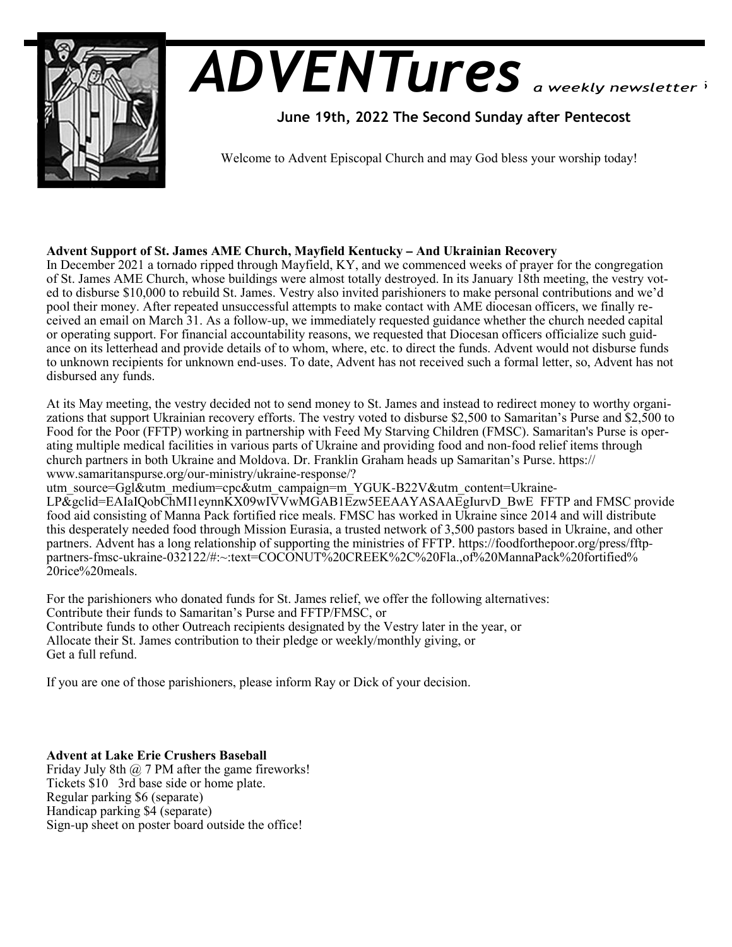

# *ADVENTures*

 **June 19th, 2022 The Second Sunday after Pentecost** 

Welcome to Advent Episcopal Church and may God bless your worship today!

# **Advent Support of St. James AME Church, Mayfield Kentucky – And Ukrainian Recovery**

In December 2021 a tornado ripped through Mayfield, KY, and we commenced weeks of prayer for the congregation of St. James AME Church, whose buildings were almost totally destroyed. In its January 18th meeting, the vestry voted to disburse \$10,000 to rebuild St. James. Vestry also invited parishioners to make personal contributions and we'd pool their money. After repeated unsuccessful attempts to make contact with AME diocesan officers, we finally received an email on March 31. As a follow-up, we immediately requested guidance whether the church needed capital or operating support. For financial accountability reasons, we requested that Diocesan officers officialize such guidance on its letterhead and provide details of to whom, where, etc. to direct the funds. Advent would not disburse funds to unknown recipients for unknown end-uses. To date, Advent has not received such a formal letter, so, Advent has not disbursed any funds.

At its May meeting, the vestry decided not to send money to St. James and instead to redirect money to worthy organizations that support Ukrainian recovery efforts. The vestry voted to disburse \$2,500 to Samaritan's Purse and \$2,500 to Food for the Poor (FFTP) working in partnership with Feed My Starving Children (FMSC). Samaritan's Purse is operating multiple medical facilities in various parts of Ukraine and providing food and non-food relief items through church partners in both Ukraine and Moldova. Dr. Franklin Graham heads up Samaritan's Purse. https:// www.samaritanspurse.org/our-ministry/ukraine-response/?

utm\_source=Ggl&utm\_medium=cpc&utm\_campaign=m\_YGUK-B22V&utm\_content=Ukraine-

LP&gclid=EAIaIOobChMI1eynnKX09wIVVwMGAB1Ezw5EEAAYASAAEgIurvD\_BwE FFTP and FMSC provide food aid consisting of Manna Pack fortified rice meals. FMSC has worked in Ukraine since 2014 and will distribute this desperately needed food through Mission Eurasia, a trusted network of 3,500 pastors based in Ukraine, and other partners. Advent has a long relationship of supporting the ministries of FFTP. https://foodforthepoor.org/press/fftppartners-fmsc-ukraine-032122/#:~:text=COCONUT%20CREEK%2C%20Fla.,of%20MannaPack%20fortified% 20rice%20meals.

For the parishioners who donated funds for St. James relief, we offer the following alternatives: Contribute their funds to Samaritan's Purse and FFTP/FMSC, or Contribute funds to other Outreach recipients designated by the Vestry later in the year, or Allocate their St. James contribution to their pledge or weekly/monthly giving, or Get a full refund.

If you are one of those parishioners, please inform Ray or Dick of your decision.

**Advent at Lake Erie Crushers Baseball**

Friday July 8th  $\omega$  7 PM after the game fireworks! Tickets \$10 3rd base side or home plate. Regular parking \$6 (separate) Handicap parking \$4 (separate) Sign-up sheet on poster board outside the office!